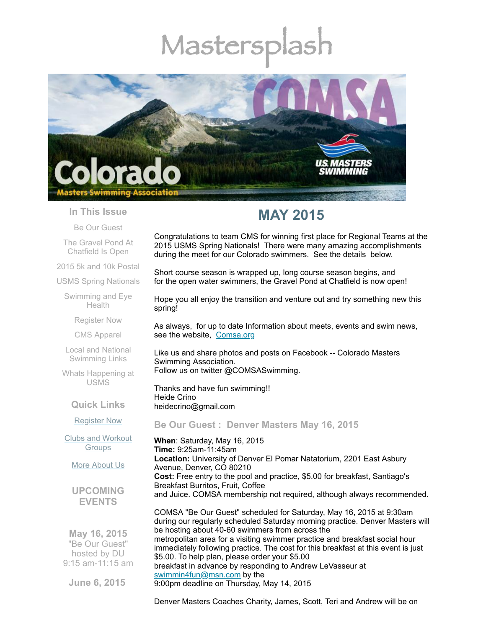# Mastersp



# **In This Issue**

Be Our [Guest](#page-0-0)

The Gravel Pond At [Chatfield](#page-1-0) Is Open

2015 5k and 10k [Postal](#page-2-0)

USMS Spring [Nationals](#page-2-1)

[Swimming](#page-8-0) and Eye **Health** 

[Register](#page-8-1) Now

CMS [Apparel](#page-9-0)

Local and National [Swimming](#page-9-1) Links

Whats [Happening](#page-9-2) at USMS

**Quick Links**

[Register](http://comsa.org/joining/index.html) Now

Clubs and [Workout](http://comsa.org/clubs/index.html) **Groups** 

More [About](http://comsa.org/) Us

**UPCOMING EVENTS**

**May 16, 2015** "Be Our Guest" hosted by DU 9:15 am-11:15 am

**June 6, 2015**

# **MAY 2015**

Congratulations to team CMS for winning first place for Regional Teams at the 2015 USMS Spring Nationals! There were many amazing accomplishments during the meet for our Colorado swimmers. See the details below.

Short course season is wrapped up, long course season begins, and for the open water swimmers, the Gravel Pond at Chatfield is now open!

Hope you all enjoy the transition and venture out and try something new this spring!

As always, for up to date Information about meets, events and swim news, see the website, [Comsa.org](http://comsa.org/)

Like us and share photos and posts on Facebook -- Colorado Masters Swimming Association. Follow us on twitter @COMSASwimming.

Thanks and have fun swimming!! Heide Crino heidecrino@gmail.com

<span id="page-0-0"></span>**Be Our Guest : Denver Masters May 16, 2015**

**When**: Saturday, May 16, 2015 **Time:** 9:25am-11:45am **Location:** University of Denver El Pomar Natatorium, 2201 East Asbury Avenue, Denver, CO 80210 **Cost:** Free entry to the pool and practice, \$5.00 for breakfast, Santiago's Breakfast Burritos, Fruit, Coffee and Juice. COMSA membership not required, although always recommended.

COMSA "Be Our Guest" scheduled for Saturday, May 16, 2015 at 9:30am during our regularly scheduled Saturday morning practice. Denver Masters will be hosting about 40-60 swimmers from across the metropolitan area for a visiting swimmer practice and breakfast social hour immediately following practice. The cost for this breakfast at this event is just \$5.00. To help plan, please order your \$5.00 breakfast in advance by responding to Andrew LeVasseur at [swimmin4fun@msn.com](mailto:swimmin4fun@msn.com) by the 9:00pm deadline on Thursday, May 14, 2015

Denver Masters Coaches Charity, James, Scott, Teri and Andrew will be on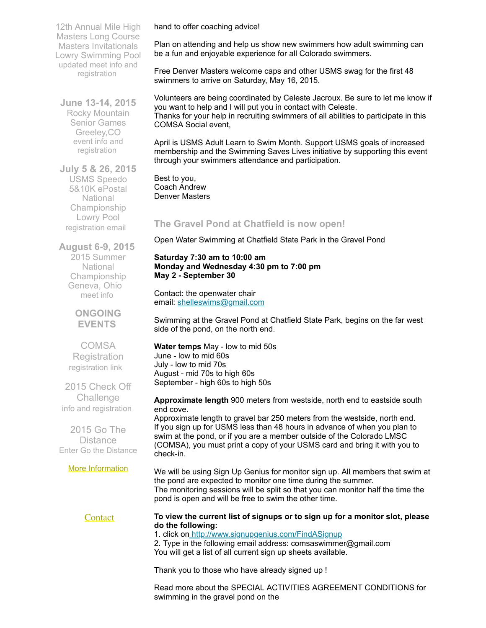12th Annual Mile High Masters Long Course Masters Invitationals Lowry Swimming Pool updated meet info and [registration](http://www.comsa.org/events/2015Pool/12th_Annual_Mile_High_Masters_LCM.pdf)

**June 13-14, 2015** Rocky Mountain Senior Games Greeley,CO event info and [registration](http://www.rockymountainseniorgames.com/)

**July 5 & 26, 2015** USMS Speedo 5&10K ePostal National Championship Lowry Pool [registration](mailto:nicolevanderpoel@msn.com) email

**August 6-9, 2015** 2015 Summer **National** Championship Geneva, Ohio [meet](http://www.usms.org/comp/lcnats15/) info

> **ONGOING EVENTS**

**COMSA Registration** [registration](http://www.comsa.org/joining/index.html) link

2015 Check Off **Challenge** info and [registration](http://www.usms.org/fitness/content/checkoff)

2015 Go The **Distance** Enter Go the [Distance](http://www.usms.org/fitness/enterflogevent.php)

#### More [Information](http://www.comsa.org/)

We will be using Sign Up Genius for monitor sign up. All members that swim at the pond are expected to monitor one time during the summer. The monitoring sessions will be split so that you can monitor half the time the pond is open and will be free to swim the other time.

# **[Contact](mailto:heidecrino@gmail.com?)**

hand to offer coaching advice!

Plan on attending and help us show new swimmers how adult swimming can be a fun and enjoyable experience for all Colorado swimmers.

Free Denver Masters welcome caps and other USMS swag for the first 48 swimmers to arrive on Saturday, May 16, 2015.

Volunteers are being coordinated by Celeste Jacroux. Be sure to let me know if you want to help and I will put you in contact with Celeste. Thanks for your help in recruiting swimmers of all abilities to participate in this COMSA Social event,

April is USMS Adult Learn to Swim Month. Support USMS goals of increased membership and the Swimming Saves Lives initiative by supporting this event through your swimmers attendance and participation.

Best to you, Coach Andrew Denver Masters

# <span id="page-1-0"></span>**The Gravel Pond at Chatfield is now open!**

Open Water Swimming at Chatfield State Park in the Gravel Pond

# **Saturday 7:30 am to 10:00 am Monday and Wednesday 4:30 pm to 7:00 pm May 2 - September 30**

Contact: the openwater chair email: [shelleswims@gmail.com](mailto:shelleswims@gmail.com)

Swimming at the Gravel Pond at Chatfield State Park, begins on the far west side of the pond, on the north end.

**Water temps** May - low to mid 50s June - low to mid 60s July - low to mid 70s August - mid 70s to high 60s September - high 60s to high 50s

**do the following:**

**Approximate length** 900 meters from westside, north end to eastside south end cove.

Approximate length to gravel bar 250 meters from the westside, north end. If you sign up for USMS less than 48 hours in advance of when you plan to swim at the pond, or if you are a member outside of the Colorado LMSC (COMSA), you must print a copy of your USMS card and bring it with you to check-in.

**To view the current list of signups or to sign up for a monitor slot, please**

1. click on <http://www.signupgenius.com/FindASignup>

2. Type in the following email address: comsaswimmer@gmail.com You will get a list of all current sign up sheets available.

Thank you to those who have already signed up !

Read more about the SPECIAL ACTIVITIES AGREEMENT CONDITIONS for swimming in the gravel pond on the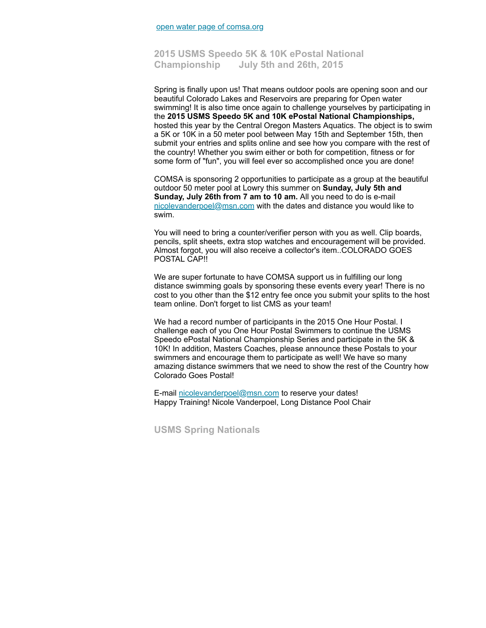# <span id="page-2-0"></span>**2015 USMS Speedo 5K & 10K ePostal National Championship July 5th and 26th, 2015**

Spring is finally upon us! That means outdoor pools are opening soon and our beautiful Colorado Lakes and Reservoirs are preparing for Open water swimming! It is also time once again to challenge yourselves by participating in the **2015 USMS Speedo 5K and 10K ePostal National Championships,** hosted this year by the Central Oregon Masters Aquatics. The object is to swim a 5K or 10K in a 50 meter pool between May 15th and September 15th, then submit your entries and splits online and see how you compare with the rest of the country! Whether you swim either or both for competition, fitness or for some form of "fun", you will feel ever so accomplished once you are done!

COMSA is sponsoring 2 opportunities to participate as a group at the beautiful outdoor 50 meter pool at Lowry this summer on **Sunday, July 5th and Sunday, July 26th from 7 am to 10 am.** All you need to do is e-mail [nicolevanderpoel@msn.com](mailto:nicolevanderpoel@msn.com) with the dates and distance you would like to swim.

You will need to bring a counter/verifier person with you as well. Clip boards, pencils, split sheets, extra stop watches and encouragement will be provided. Almost forgot, you will also receive a collector's item..COLORADO GOES POSTAL CAP!!

We are super fortunate to have COMSA support us in fulfilling our long distance swimming goals by sponsoring these events every year! There is no cost to you other than the \$12 entry fee once you submit your splits to the host team online. Don't forget to list CMS as your team!

We had a record number of participants in the 2015 One Hour Postal. I challenge each of you One Hour Postal Swimmers to continue the USMS Speedo ePostal National Championship Series and participate in the 5K & 10K! In addition, Masters Coaches, please announce these Postals to your swimmers and encourage them to participate as well! We have so many amazing distance swimmers that we need to show the rest of the Country how Colorado Goes Postal!

E-mail [nicolevanderpoel@msn.com](mailto:nicolevanderpoel@msn.com) to reserve your dates! Happy Training! Nicole Vanderpoel, Long Distance Pool Chair

<span id="page-2-1"></span>**USMS Spring Nationals**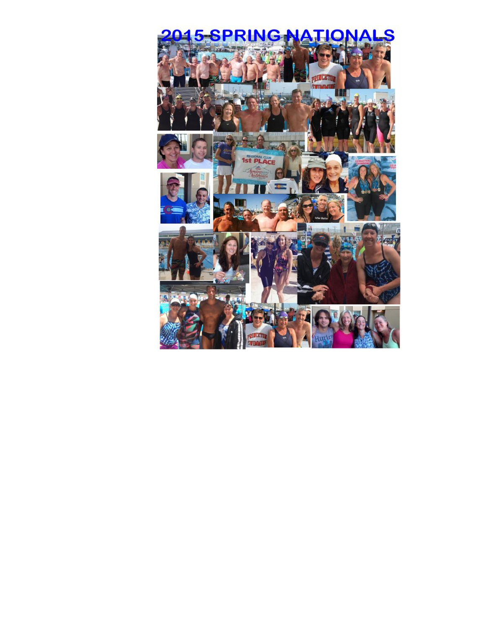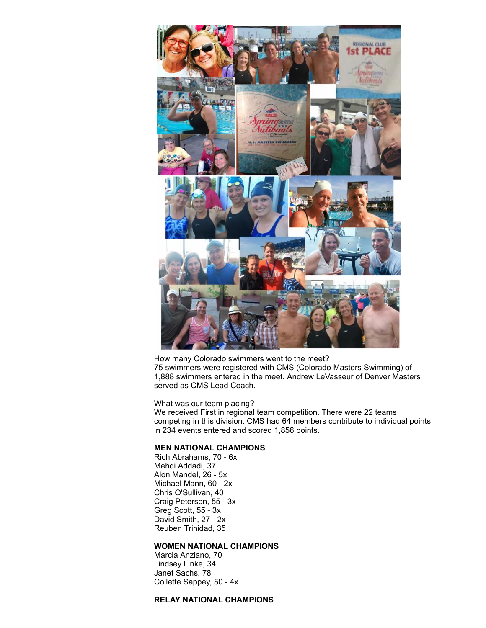

How many Colorado swimmers went to the meet? 75 swimmers were registered with CMS (Colorado Masters Swimming) of 1,888 swimmers entered in the meet. Andrew LeVasseur of Denver Masters served as CMS Lead Coach.

What was our team placing?

We received First in regional team competition. There were 22 teams competing in this division. CMS had 64 members contribute to individual points in 234 events entered and scored 1,856 points.

## **MEN NATIONAL CHAMPIONS**

Rich Abrahams, 70 - 6x Mehdi Addadi, 37 Alon Mandel, 26 - 5x Michael Mann, 60 - 2x Chris O'Sullivan, 40 Craig Petersen, 55 - 3x Greg Scott, 55 - 3x David Smith, 27 - 2x Reuben Trinidad, 35

# **WOMEN NATIONAL CHAMPIONS**

Marcia Anziano, 70 Lindsey Linke, 34 Janet Sachs, 78 Collette Sappey, 50 - 4x

# **RELAY NATIONAL CHAMPIONS**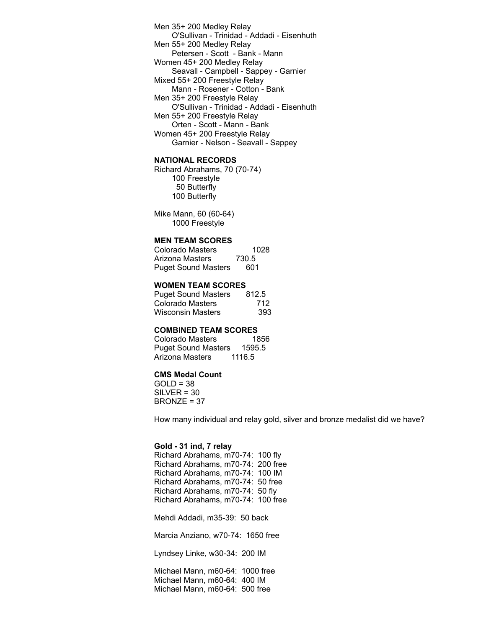Men 35+ 200 Medley Relay O'Sullivan - Trinidad - Addadi - Eisenhuth Men 55+ 200 Medley Relay Petersen - Scott - Bank - Mann Women 45+ 200 Medley Relay Seavall - Campbell - Sappey - Garnier Mixed 55+ 200 Freestyle Relay Mann - Rosener - Cotton - Bank Men 35+ 200 Freestyle Relay O'Sullivan - Trinidad - Addadi - Eisenhuth Men 55+ 200 Freestyle Relay Orten - Scott - Mann - Bank Women 45+ 200 Freestyle Relay Garnier - Nelson - Seavall - Sappey

# **NATIONAL RECORDS**

Richard Abrahams, 70 (70-74) Freestyle Butterfly Butterfly

Mike Mann, 60 (60-64) 1000 Freestyle

## **MEN TEAM SCORES**

Colorado Masters 1028<br>Arizona Masters 730.5 Arizona Masters Puget Sound Masters 601

#### **WOMEN TEAM SCORES**

Puget Sound Masters 812.5 Colorado Masters 712 Wisconsin Masters 393

## **COMBINED TEAM SCORES**

Colorado Masters 1856 Puget Sound Masters 1595.5 Arizona Masters 1116.5

# **CMS Medal Count**

 $GOLD = 38$ SILVER = 30 BRONZE = 37

How many individual and relay gold, silver and bronze medalist did we have?

#### **Gold - 31 ind, 7 relay**

Richard Abrahams, m70-74: 100 fly Richard Abrahams, m70-74: 200 free Richard Abrahams, m70-74: 100 IM Richard Abrahams, m70-74: 50 free Richard Abrahams, m70-74: 50 fly Richard Abrahams, m70-74: 100 free

Mehdi Addadi, m35-39: 50 back

Marcia Anziano, w70-74: 1650 free

Lyndsey Linke, w30-34: 200 IM

Michael Mann, m60-64: 1000 free Michael Mann, m60-64: 400 IM Michael Mann, m60-64: 500 free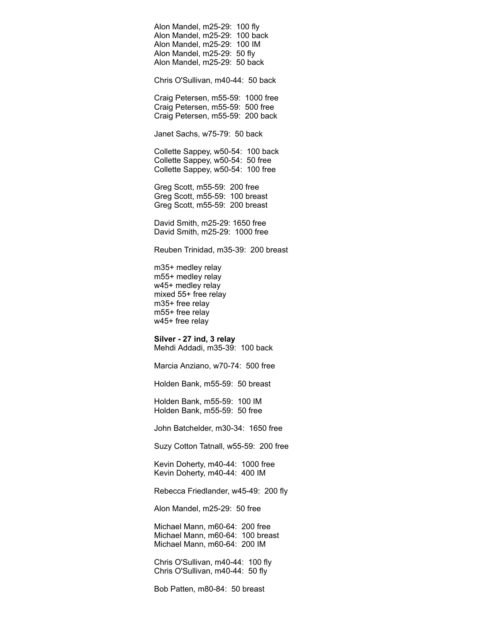Alon Mandel, m25-29: 100 fly Alon Mandel, m25-29: 100 back Alon Mandel, m25-29: 100 IM Alon Mandel, m25-29: 50 fly Alon Mandel, m25-29: 50 back Chris O'Sullivan, m40-44: 50 back Craig Petersen, m55-59: 1000 free Craig Petersen, m55-59: 500 free Craig Petersen, m55-59: 200 back Janet Sachs, w75-79: 50 back Collette Sappey, w50-54: 100 back Collette Sappey, w50-54: 50 free Collette Sappey, w50-54: 100 free Greg Scott, m55-59: 200 free Greg Scott, m55-59: 100 breast Greg Scott, m55-59: 200 breast David Smith, m25-29: 1650 free David Smith, m25-29: 1000 free Reuben Trinidad, m35-39: 200 breast m35+ medley relay m55+ medley relay w45+ medley relay mixed 55+ free relay m35+ free relay m55+ free relay w45+ free relay **Silver - 27 ind, 3 relay** Mehdi Addadi, m35-39: 100 back Marcia Anziano, w70-74: 500 free Holden Bank, m55-59: 50 breast Holden Bank, m55-59: 100 IM Holden Bank, m55-59: 50 free John Batchelder, m30-34: 1650 free

Suzy Cotton Tatnall, w55-59: 200 free

Kevin Doherty, m40-44: 1000 free Kevin Doherty, m40-44: 400 IM

Rebecca Friedlander, w45-49: 200 fly

Alon Mandel, m25-29: 50 free

Michael Mann, m60-64: 200 free Michael Mann, m60-64: 100 breast Michael Mann, m60-64: 200 IM

Chris O'Sullivan, m40-44: 100 fly Chris O'Sullivan, m40-44: 50 fly

Bob Patten, m80-84: 50 breast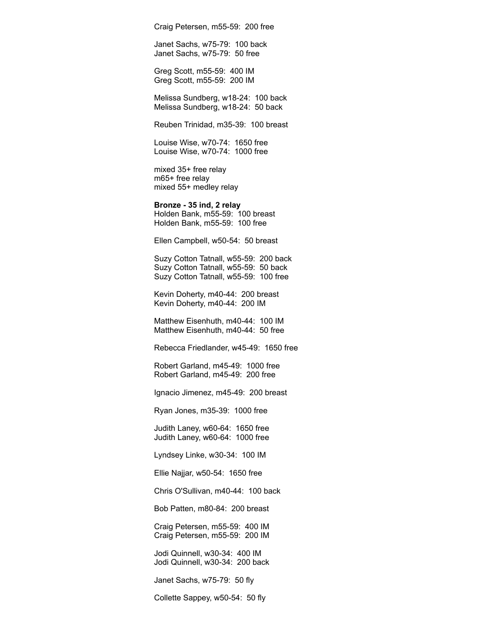Craig Petersen, m55-59: 200 free

Janet Sachs, w75-79: 100 back Janet Sachs, w75-79: 50 free

Greg Scott, m55-59: 400 IM Greg Scott, m55-59: 200 IM

Melissa Sundberg, w18-24: 100 back Melissa Sundberg, w18-24: 50 back

Reuben Trinidad, m35-39: 100 breast

Louise Wise, w70-74: 1650 free Louise Wise, w70-74: 1000 free

mixed 35+ free relay m65+ free relay mixed 55+ medley relay

**Bronze - 35 ind, 2 relay** Holden Bank, m55-59: 100 breast Holden Bank, m55-59: 100 free

Ellen Campbell, w50-54: 50 breast

Suzy Cotton Tatnall, w55-59: 200 back Suzy Cotton Tatnall, w55-59: 50 back Suzy Cotton Tatnall, w55-59: 100 free

Kevin Doherty, m40-44: 200 breast Kevin Doherty, m40-44: 200 IM

Matthew Eisenhuth, m40-44: 100 IM Matthew Eisenhuth, m40-44: 50 free

Rebecca Friedlander, w45-49: 1650 free

Robert Garland, m45-49: 1000 free Robert Garland, m45-49: 200 free

Ignacio Jimenez, m45-49: 200 breast

Ryan Jones, m35-39: 1000 free

Judith Laney, w60-64: 1650 free Judith Laney, w60-64: 1000 free

Lyndsey Linke, w30-34: 100 IM

Ellie Najjar, w50-54: 1650 free

Chris O'Sullivan, m40-44: 100 back

Bob Patten, m80-84: 200 breast

Craig Petersen, m55-59: 400 IM Craig Petersen, m55-59: 200 IM

Jodi Quinnell, w30-34: 400 IM Jodi Quinnell, w30-34: 200 back

Janet Sachs, w75-79: 50 fly

Collette Sappey, w50-54: 50 fly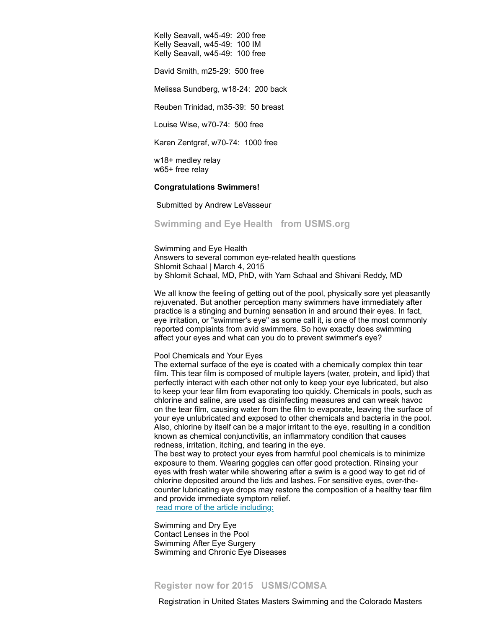Kelly Seavall, w45-49: 200 free Kelly Seavall, w45-49: 100 IM Kelly Seavall, w45-49: 100 free

David Smith, m25-29: 500 free

Melissa Sundberg, w18-24: 200 back

Reuben Trinidad, m35-39: 50 breast

Louise Wise, w70-74: 500 free

Karen Zentgraf, w70-74: 1000 free

w18+ medley relay w65+ free relay

#### **Congratulations Swimmers!**

Submitted by Andrew LeVasseur

<span id="page-8-0"></span>**Swimming and Eye Health from USMS.org**

Swimming and Eye Health Answers to several common eye-related health questions Shlomit Schaal | March 4, 2015 by Shlomit Schaal, MD, PhD, with Yam Schaal and Shivani Reddy, MD

We all know the feeling of getting out of the pool, physically sore yet pleasantly rejuvenated. But another perception many swimmers have immediately after practice is a stinging and burning sensation in and around their eyes. In fact, eye irritation, or "swimmer's eye" as some call it, is one of the most commonly reported complaints from avid swimmers. So how exactly does swimming affect your eyes and what can you do to prevent swimmer's eye?

Pool Chemicals and Your Eyes

The external surface of the eye is coated with a chemically complex thin tear film. This tear film is composed of multiple layers (water, protein, and lipid) that perfectly interact with each other not only to keep your eye lubricated, but also to keep your tear film from evaporating too quickly. Chemicals in pools, such as chlorine and saline, are used as disinfecting measures and can wreak havoc on the tear film, causing water from the film to evaporate, leaving the surface of your eye unlubricated and exposed to other chemicals and bacteria in the pool. Also, chlorine by itself can be a major irritant to the eye, resulting in a condition known as chemical conjunctivitis, an inflammatory condition that causes redness, irritation, itching, and tearing in the eye.

The best way to protect your eyes from harmful pool chemicals is to minimize exposure to them. Wearing goggles can offer good protection. Rinsing your eyes with fresh water while showering after a swim is a good way to get rid of chlorine deposited around the lids and lashes. For sensitive eyes, over-thecounter lubricating eye drops may restore the composition of a healthy tear film and provide immediate symptom relief.

read more of the article [including:](http://www.usms.org/articles/articledisplay.php?aid=3071#)

Swimming and Dry Eye Contact Lenses in the Pool Swimming After Eye Surgery Swimming and Chronic Eye Diseases

<span id="page-8-1"></span>**Register now for 2015 USMS/COMSA** 

Registration in United States Masters Swimming and the Colorado Masters